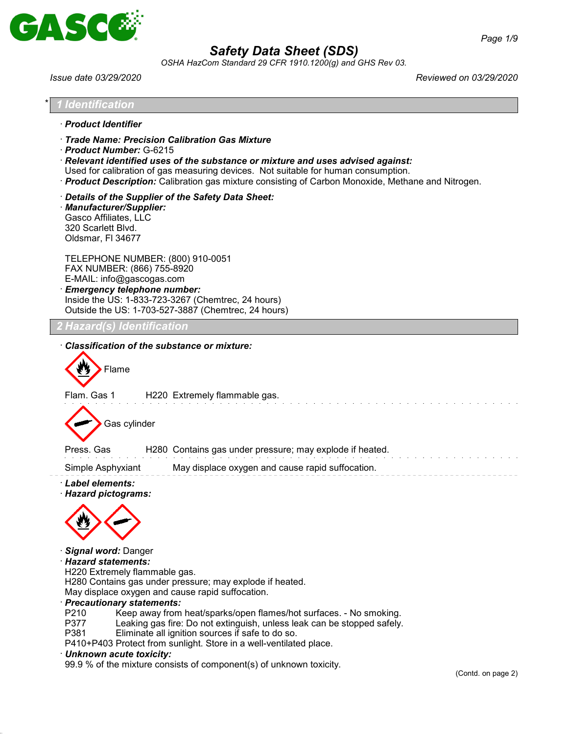

*OSHA HazCom Standard 29 CFR 1910.1200(g) and GHS Rev 03.*

| Issue date 03/29/2020                                                                                                                                                                                                                                                                                                                                                                                                                                                                                                                                                                                                            | Reviewed on 03/29/2020        |
|----------------------------------------------------------------------------------------------------------------------------------------------------------------------------------------------------------------------------------------------------------------------------------------------------------------------------------------------------------------------------------------------------------------------------------------------------------------------------------------------------------------------------------------------------------------------------------------------------------------------------------|-------------------------------|
| Identification                                                                                                                                                                                                                                                                                                                                                                                                                                                                                                                                                                                                                   |                               |
| · Product Identifier                                                                                                                                                                                                                                                                                                                                                                                                                                                                                                                                                                                                             |                               |
| Trade Name: Precision Calibration Gas Mixture<br>Product Number: G-6215<br>$\cdot$ Relevant identified uses of the substance or mixture and uses advised against:<br>Used for calibration of gas measuring devices. Not suitable for human consumption.<br>· Product Description: Calibration gas mixture consisting of Carbon Monoxide, Methane and Nitrogen.                                                                                                                                                                                                                                                                   |                               |
| Details of the Supplier of the Safety Data Sheet:<br>Manufacturer/Supplier:<br>Gasco Affiliates, LLC<br>320 Scarlett Blvd.<br>Oldsmar, FI 34677                                                                                                                                                                                                                                                                                                                                                                                                                                                                                  |                               |
| TELEPHONE NUMBER: (800) 910-0051<br>FAX NUMBER: (866) 755-8920<br>E-MAIL: info@gascogas.com<br><b>Emergency telephone number:</b><br>Inside the US: 1-833-723-3267 (Chemtrec, 24 hours)<br>Outside the US: 1-703-527-3887 (Chemtrec, 24 hours)                                                                                                                                                                                                                                                                                                                                                                                   |                               |
| <b>Hazard(s) Identification</b>                                                                                                                                                                                                                                                                                                                                                                                                                                                                                                                                                                                                  |                               |
| Classification of the substance or mixture:                                                                                                                                                                                                                                                                                                                                                                                                                                                                                                                                                                                      |                               |
| Flame                                                                                                                                                                                                                                                                                                                                                                                                                                                                                                                                                                                                                            |                               |
| Flam. Gas 1<br>H220 Extremely flammable gas.                                                                                                                                                                                                                                                                                                                                                                                                                                                                                                                                                                                     |                               |
| Gas cylinder                                                                                                                                                                                                                                                                                                                                                                                                                                                                                                                                                                                                                     |                               |
| H280 Contains gas under pressure; may explode if heated.<br>Press, Gas                                                                                                                                                                                                                                                                                                                                                                                                                                                                                                                                                           |                               |
| May displace oxygen and cause rapid suffocation.<br>Simple Asphyxiant                                                                                                                                                                                                                                                                                                                                                                                                                                                                                                                                                            |                               |
| · Label elements:<br>· Hazard pictograms:                                                                                                                                                                                                                                                                                                                                                                                                                                                                                                                                                                                        |                               |
|                                                                                                                                                                                                                                                                                                                                                                                                                                                                                                                                                                                                                                  |                               |
| Signal word: Danger<br>Hazard statements:<br>H220 Extremely flammable gas.<br>H280 Contains gas under pressure; may explode if heated.<br>May displace oxygen and cause rapid suffocation.<br>· Precautionary statements:<br>P210<br>Keep away from heat/sparks/open flames/hot surfaces. - No smoking.<br>P377<br>Leaking gas fire: Do not extinguish, unless leak can be stopped safely.<br>P381<br>Eliminate all ignition sources if safe to do so.<br>P410+P403 Protect from sunlight. Store in a well-ventilated place.<br>· Unknown acute toxicity:<br>99.9 % of the mixture consists of component(s) of unknown toxicity. |                               |
|                                                                                                                                                                                                                                                                                                                                                                                                                                                                                                                                                                                                                                  | $(Contd \cap \text{name } 2)$ |

(Contd. on page 2)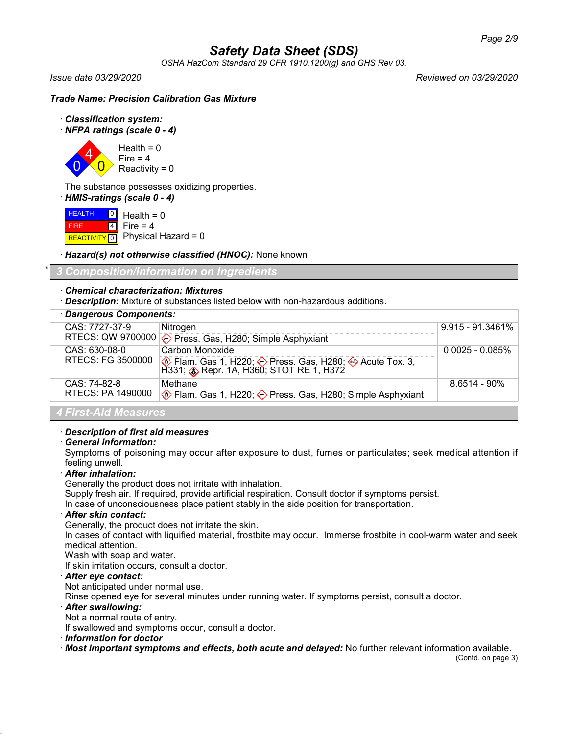*OSHA HazCom Standard 29 CFR 1910.1200(g) and GHS Rev 03.*

*Issue date 03/29/2020 Reviewed on 03/29/2020*

# *Trade Name: Precision Calibration Gas Mixture*

- · *Classification system:*
- · *NFPA ratings (scale 0 4)*

0 4  $\overline{0}$  $Health = 0$ Fire  $= 4$ 

Reactivity =  $0$ 

The substance possesses oxidizing properties.

· *HMIS-ratings (scale 0 - 4)*

**HEALTH**  FIRE  $R$ **REACTIVITY**  $\boxed{0}$  Physical Hazard = 0 0 Health = 0 4 Fire  $= 4$ 

· *Hazard(s) not otherwise classified (HNOC):* None known

\* *3 Composition/Information on Ingredients*

# · *Chemical characterization: Mixtures*

· *Description:* Mixture of substances listed below with non-hazardous additions.

| · Dangerous Components: |                                                                      |                    |
|-------------------------|----------------------------------------------------------------------|--------------------|
| CAS: 7727-37-9          | Nitrogen                                                             | $9.915 - 91.3461%$ |
|                         | RTECS: QW 9700000 $\diamondsuit$ Press. Gas, H280; Simple Asphyxiant |                    |
| CAS: 630-08-0           | Carbon Monoxide                                                      | $0.0025 - 0.085\%$ |
| RTECS: FG 3500000       |                                                                      |                    |
| CAS: 74-82-8            | Methane                                                              | $8.6514 - 90\%$    |
| RTECS: PA 1490000       | ♦ Flam. Gas 1, H220; ♦ Press. Gas, H280; Simple Asphyxiant           |                    |
| .                       |                                                                      |                    |

# *4 First-Aid Measures*

# · *Description of first aid measures*

# · *General information:*

Symptoms of poisoning may occur after exposure to dust, fumes or particulates; seek medical attention if feeling unwell.

# · *After inhalation:*

Generally the product does not irritate with inhalation.

Supply fresh air. If required, provide artificial respiration. Consult doctor if symptoms persist.

In case of unconsciousness place patient stably in the side position for transportation.

#### · *After skin contact:*

Generally, the product does not irritate the skin.

In cases of contact with liquified material, frostbite may occur. Immerse frostbite in cool-warm water and seek medical attention.

Wash with soap and water.

If skin irritation occurs, consult a doctor.

# · *After eye contact:*

Not anticipated under normal use.

Rinse opened eye for several minutes under running water. If symptoms persist, consult a doctor.

#### · *After swallowing:*

Not a normal route of entry.

If swallowed and symptoms occur, consult a doctor.

· *Information for doctor*

· *Most important symptoms and effects, both acute and delayed:* No further relevant information available.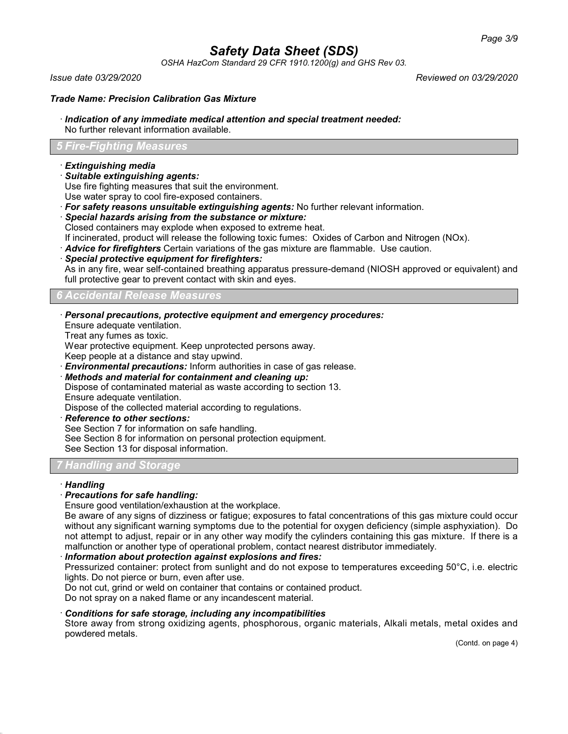*OSHA HazCom Standard 29 CFR 1910.1200(g) and GHS Rev 03.*

*Issue date 03/29/2020 Reviewed on 03/29/2020*

### *Trade Name: Precision Calibration Gas Mixture*

#### · *Indication of any immediate medical attention and special treatment needed:*

No further relevant information available.

# *5 Fire-Fighting Measures*

### · *Extinguishing media*

· *Suitable extinguishing agents:*

Use fire fighting measures that suit the environment.

Use water spray to cool fire-exposed containers.

- · *For safety reasons unsuitable extinguishing agents:* No further relevant information.
- · *Special hazards arising from the substance or mixture:*

Closed containers may explode when exposed to extreme heat.

If incinerated, product will release the following toxic fumes: Oxides of Carbon and Nitrogen (NOx).

· *Advice for firefighters* Certain variations of the gas mixture are flammable. Use caution.

· *Special protective equipment for firefighters:*

As in any fire, wear self-contained breathing apparatus pressure-demand (NIOSH approved or equivalent) and full protective gear to prevent contact with skin and eyes.

#### *6 Accidental Release Measures*

· *Personal precautions, protective equipment and emergency procedures:*

Ensure adequate ventilation.

Treat any fumes as toxic.

Wear protective equipment. Keep unprotected persons away.

Keep people at a distance and stay upwind.

· *Environmental precautions:* Inform authorities in case of gas release.

· *Methods and material for containment and cleaning up:*

Dispose of contaminated material as waste according to section 13. Ensure adequate ventilation.

Dispose of the collected material according to regulations.

· *Reference to other sections:*

See Section 7 for information on safe handling.

See Section 8 for information on personal protection equipment.

See Section 13 for disposal information.

# *7 Handling and Storage*

#### · *Handling*

# · *Precautions for safe handling:*

Ensure good ventilation/exhaustion at the workplace.

Be aware of any signs of dizziness or fatigue; exposures to fatal concentrations of this gas mixture could occur without any significant warning symptoms due to the potential for oxygen deficiency (simple asphyxiation). Do not attempt to adjust, repair or in any other way modify the cylinders containing this gas mixture. If there is a malfunction or another type of operational problem, contact nearest distributor immediately.

# · *Information about protection against explosions and fires:*

Pressurized container: protect from sunlight and do not expose to temperatures exceeding 50°C, i.e. electric lights. Do not pierce or burn, even after use.

Do not cut, grind or weld on container that contains or contained product.

Do not spray on a naked flame or any incandescent material.

# · *Conditions for safe storage, including any incompatibilities*

Store away from strong oxidizing agents, phosphorous, organic materials, Alkali metals, metal oxides and powdered metals.

(Contd. on page 4)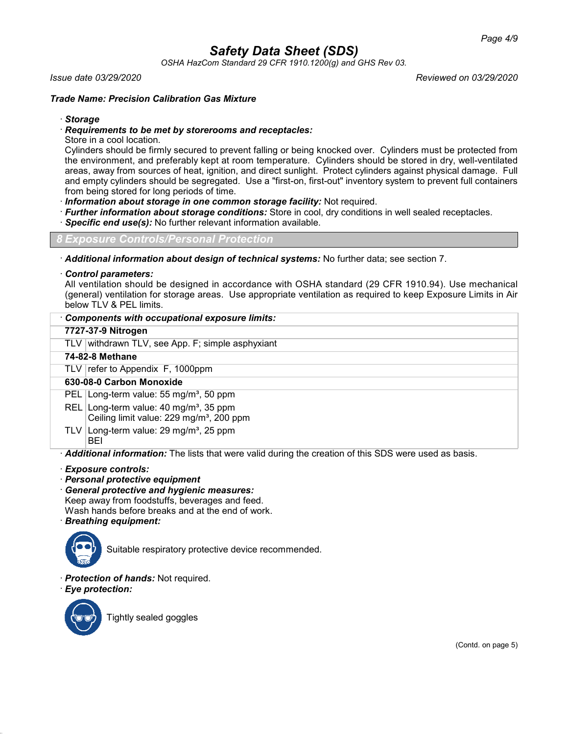*OSHA HazCom Standard 29 CFR 1910.1200(g) and GHS Rev 03.*

#### *Issue date 03/29/2020 Reviewed on 03/29/2020*

# *Trade Name: Precision Calibration Gas Mixture*

### · *Storage*

### · *Requirements to be met by storerooms and receptacles:*

Store in a cool location.

Cylinders should be firmly secured to prevent falling or being knocked over. Cylinders must be protected from the environment, and preferably kept at room temperature. Cylinders should be stored in dry, well-ventilated areas, away from sources of heat, ignition, and direct sunlight. Protect cylinders against physical damage. Full and empty cylinders should be segregated. Use a "first-on, first-out" inventory system to prevent full containers from being stored for long periods of time.

· *Information about storage in one common storage facility:* Not required.

- · *Further information about storage conditions:* Store in cool, dry conditions in well sealed receptacles.
- **Specific end use(s):** No further relevant information available.

*8 Exposure Controls/Personal Protection*

· *Additional information about design of technical systems:* No further data; see section 7.

#### · *Control parameters:*

All ventilation should be designed in accordance with OSHA standard (29 CFR 1910.94). Use mechanical (general) ventilation for storage areas. Use appropriate ventilation as required to keep Exposure Limits in Air below TLV & PEL limits.

# · *Components with occupational exposure limits:*

# **7727-37-9 Nitrogen**

TLV withdrawn TLV, see App. F; simple asphyxiant

#### **74-82-8 Methane**

TLV  $\lvert$  refer to Appendix F, 1000ppm

# **630-08-0 Carbon Monoxide**

PEL Long-term value: 55 mg/m<sup>3</sup>, 50 ppm

REL Long-term value:  $40 \text{ mg/m}^3$ , 35 ppm Ceiling limit value: 229 mg/m<sup>3</sup>, 200 ppm

TLV Long-term value: 29 mg/m<sup>3</sup>, 25 ppm BEI

· *Additional information:* The lists that were valid during the creation of this SDS were used as basis.

#### · *Exposure controls:*

- · *Personal protective equipment*
- · *General protective and hygienic measures:* Keep away from foodstuffs, beverages and feed. Wash hands before breaks and at the end of work. · *Breathing equipment:*



Suitable respiratory protective device recommended.

- · *Protection of hands:* Not required.
- · *Eye protection:*



Tightly sealed goggles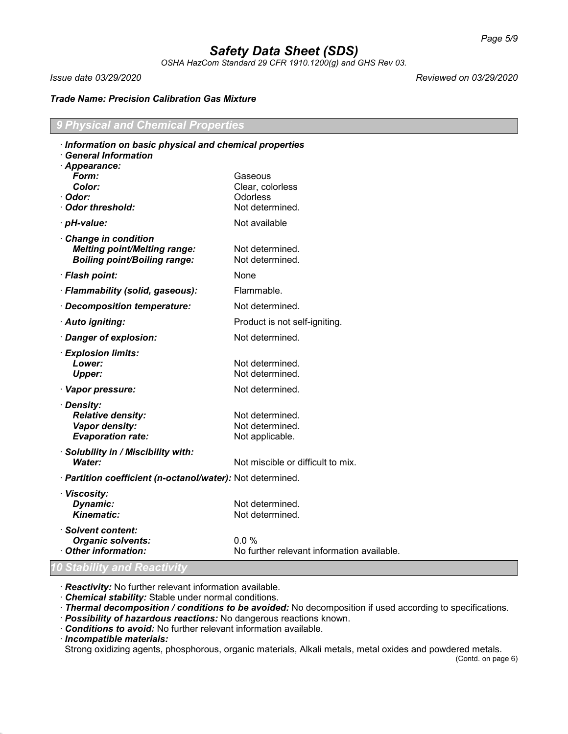*OSHA HazCom Standard 29 CFR 1910.1200(g) and GHS Rev 03.*

*Issue date 03/29/2020 Reviewed on 03/29/2020*

# *Trade Name: Precision Calibration Gas Mixture*

# *9 Physical and Chemical Properties*

| Information on basic physical and chemical properties<br><b>General Information</b>               |                                            |
|---------------------------------------------------------------------------------------------------|--------------------------------------------|
| · Appearance:                                                                                     |                                            |
| Form:                                                                                             | Gaseous                                    |
| Color:                                                                                            | Clear, colorless                           |
| · Odor:                                                                                           | <b>Odorless</b>                            |
| Odor threshold:                                                                                   | Not determined.                            |
| · pH-value:                                                                                       | Not available                              |
| Change in condition<br><b>Melting point/Melting range:</b><br><b>Boiling point/Boiling range:</b> | Not determined.<br>Not determined.         |
| · Flash point:                                                                                    | None                                       |
| · Flammability (solid, gaseous):                                                                  | Flammable.                                 |
| · Decomposition temperature:                                                                      | Not determined.                            |
| · Auto igniting:                                                                                  | Product is not self-igniting.              |
| · Danger of explosion:                                                                            | Not determined.                            |
| · Explosion limits:                                                                               |                                            |
| Lower:                                                                                            | Not determined.                            |
| <b>Upper:</b>                                                                                     | Not determined.                            |
| · Vapor pressure:                                                                                 | Not determined.                            |
| · Density:                                                                                        |                                            |
| <b>Relative density:</b>                                                                          | Not determined.                            |
| Vapor density:                                                                                    | Not determined.                            |
| <b>Evaporation rate:</b>                                                                          | Not applicable.                            |
| · Solubility in / Miscibility with:                                                               |                                            |
| <b>Water:</b>                                                                                     | Not miscible or difficult to mix.          |
| · Partition coefficient (n-octanol/water): Not determined.                                        |                                            |
| · Viscosity:                                                                                      |                                            |
| <b>Dynamic:</b>                                                                                   | Not determined.                            |
| <b>Kinematic:</b>                                                                                 | Not determined.                            |
| · Solvent content:                                                                                |                                            |
| <b>Organic solvents:</b>                                                                          | 0.0 %                                      |
| Other information:<br>10 Stability and Reactivity                                                 | No further relevant information available. |

· *Reactivity:* No further relevant information available.

· *Chemical stability:* Stable under normal conditions.

· *Thermal decomposition / conditions to be avoided:* No decomposition if used according to specifications.

· *Possibility of hazardous reactions:* No dangerous reactions known.

· *Conditions to avoid:* No further relevant information available.

· *Incompatible materials:*

Strong oxidizing agents, phosphorous, organic materials, Alkali metals, metal oxides and powdered metals.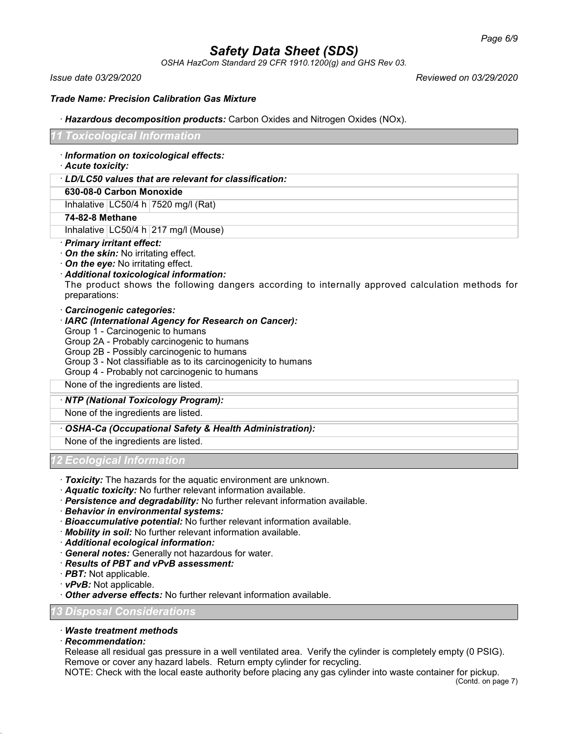*OSHA HazCom Standard 29 CFR 1910.1200(g) and GHS Rev 03.*

*Issue date 03/29/2020 Reviewed on 03/29/2020*

### *Trade Name: Precision Calibration Gas Mixture*

#### · *Hazardous decomposition products:* Carbon Oxides and Nitrogen Oxides (NOx).

#### *11 Toxicological Information*

- · *Information on toxicological effects:*
- · *Acute toxicity:*

#### · *LD/LC50 values that are relevant for classification:*

### **630-08-0 Carbon Monoxide**

Inhalative  $|LG50/4 h|7520$  mg/l (Rat)

#### **74-82-8 Methane**

Inhalative  $LC50/4$  h  $217$  mg/l (Mouse)

#### · *Primary irritant effect:*

- · *On the skin:* No irritating effect.
- · *On the eye:* No irritating effect.
- · *Additional toxicological information:*

The product shows the following dangers according to internally approved calculation methods for preparations:

# · *Carcinogenic categories:*

#### · *IARC (International Agency for Research on Cancer):*

- Group 1 Carcinogenic to humans
- Group 2A Probably carcinogenic to humans
- Group 2B Possibly carcinogenic to humans
- Group 3 Not classifiable as to its carcinogenicity to humans
- Group 4 Probably not carcinogenic to humans

None of the ingredients are listed.

#### · *NTP (National Toxicology Program):*

None of the ingredients are listed.

# · *OSHA-Ca (Occupational Safety & Health Administration):*

None of the ingredients are listed.

# *12 Ecological Information*

- · *Toxicity:* The hazards for the aquatic environment are unknown.
- · *Aquatic toxicity:* No further relevant information available.
- · *Persistence and degradability:* No further relevant information available.
- · *Behavior in environmental systems:*
- · *Bioaccumulative potential:* No further relevant information available.
- · *Mobility in soil:* No further relevant information available.
- · *Additional ecological information:*
- · *General notes:* Generally not hazardous for water.
- · *Results of PBT and vPvB assessment:*
- · *PBT:* Not applicable.
- · *vPvB:* Not applicable.
- · *Other adverse effects:* No further relevant information available.

#### *13 Disposal Considerations*

#### · *Waste treatment methods*

· *Recommendation:*

Release all residual gas pressure in a well ventilated area. Verify the cylinder is completely empty (0 PSIG). Remove or cover any hazard labels. Return empty cylinder for recycling.

NOTE: Check with the local easte authority before placing any gas cylinder into waste container for pickup.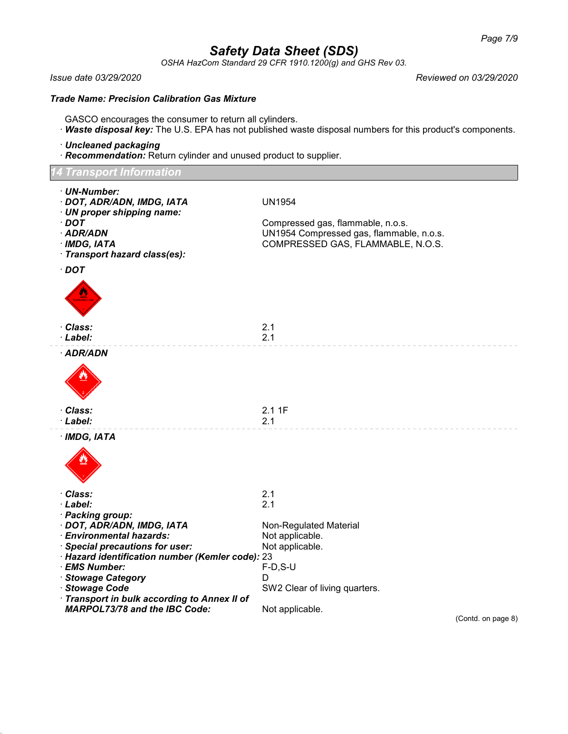*OSHA HazCom Standard 29 CFR 1910.1200(g) and GHS Rev 03.*

*Issue date 03/29/2020 Reviewed on 03/29/2020*

#### *Trade Name: Precision Calibration Gas Mixture*

- GASCO encourages the consumer to return all cylinders.
- · *Waste disposal key:* The U.S. EPA has not published waste disposal numbers for this product's components.
- · *Uncleaned packaging*
- · *Recommendation:* Return cylinder and unused product to supplier.

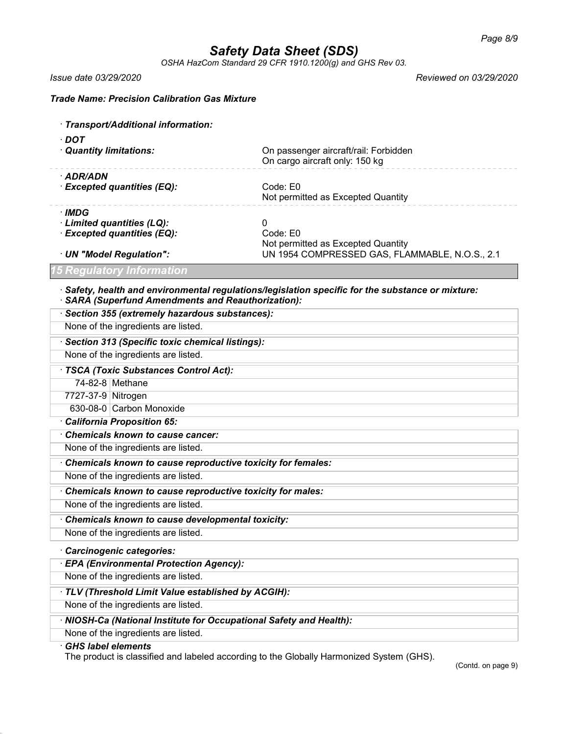*OSHA HazCom Standard 29 CFR 1910.1200(g) and GHS Rev 03.*

*Issue date 03/29/2020 Reviewed on 03/29/2020*

*Trade Name: Precision Calibration Gas Mixture*

| · Transport/Additional information:                                                                                                                           |                                                                                      |  |  |
|---------------------------------------------------------------------------------------------------------------------------------------------------------------|--------------------------------------------------------------------------------------|--|--|
| $\cdot$ DOT                                                                                                                                                   |                                                                                      |  |  |
| · Quantity limitations:                                                                                                                                       | On passenger aircraft/rail: Forbidden<br>On cargo aircraft only: 150 kg              |  |  |
| · ADR/ADN                                                                                                                                                     |                                                                                      |  |  |
| · Excepted quantities (EQ):                                                                                                                                   | Code: E0<br>Not permitted as Excepted Quantity                                       |  |  |
| · IMDG                                                                                                                                                        |                                                                                      |  |  |
| · Limited quantities (LQ):                                                                                                                                    | 0                                                                                    |  |  |
| · Excepted quantities (EQ):                                                                                                                                   | Code: E0                                                                             |  |  |
| · UN "Model Regulation":                                                                                                                                      | Not permitted as Excepted Quantity<br>UN 1954 COMPRESSED GAS, FLAMMABLE, N.O.S., 2.1 |  |  |
| 15 Regulatory Information                                                                                                                                     |                                                                                      |  |  |
| $\cdot$ Safety, health and environmental regulations/legislation specific for the substance or mixture:<br>· SARA (Superfund Amendments and Reauthorization): |                                                                                      |  |  |
| · Section 355 (extremely hazardous substances):                                                                                                               |                                                                                      |  |  |
| None of the ingredients are listed.                                                                                                                           |                                                                                      |  |  |
| · Section 313 (Specific toxic chemical listings):                                                                                                             |                                                                                      |  |  |
| None of the ingredients are listed.                                                                                                                           |                                                                                      |  |  |
| · TSCA (Toxic Substances Control Act):                                                                                                                        |                                                                                      |  |  |
| 74-82-8 Methane                                                                                                                                               |                                                                                      |  |  |
| 7727-37-9 Nitrogen                                                                                                                                            |                                                                                      |  |  |
| 630-08-0 Carbon Monoxide                                                                                                                                      |                                                                                      |  |  |
| California Proposition 65:                                                                                                                                    |                                                                                      |  |  |
| Chemicals known to cause cancer:                                                                                                                              |                                                                                      |  |  |
| None of the ingredients are listed.                                                                                                                           |                                                                                      |  |  |
| Chemicals known to cause reproductive toxicity for females:                                                                                                   |                                                                                      |  |  |
| None of the ingredients are listed.                                                                                                                           |                                                                                      |  |  |
| Chemicals known to cause reproductive toxicity for males:                                                                                                     |                                                                                      |  |  |
| None of the ingredients are listed.                                                                                                                           |                                                                                      |  |  |
| Chemicals known to cause developmental toxicity:                                                                                                              |                                                                                      |  |  |
| None of the ingredients are listed.                                                                                                                           |                                                                                      |  |  |
| · Carcinogenic categories:                                                                                                                                    |                                                                                      |  |  |
| · EPA (Environmental Protection Agency):                                                                                                                      |                                                                                      |  |  |
| None of the ingredients are listed.                                                                                                                           |                                                                                      |  |  |
| · TLV (Threshold Limit Value established by ACGIH):                                                                                                           |                                                                                      |  |  |
| None of the ingredients are listed.                                                                                                                           |                                                                                      |  |  |
| · NIOSH-Ca (National Institute for Occupational Safety and Health):                                                                                           |                                                                                      |  |  |
| None of the ingredients are listed.                                                                                                                           |                                                                                      |  |  |
| <b>GHS label elements</b>                                                                                                                                     |                                                                                      |  |  |

The product is classified and labeled according to the Globally Harmonized System (GHS).